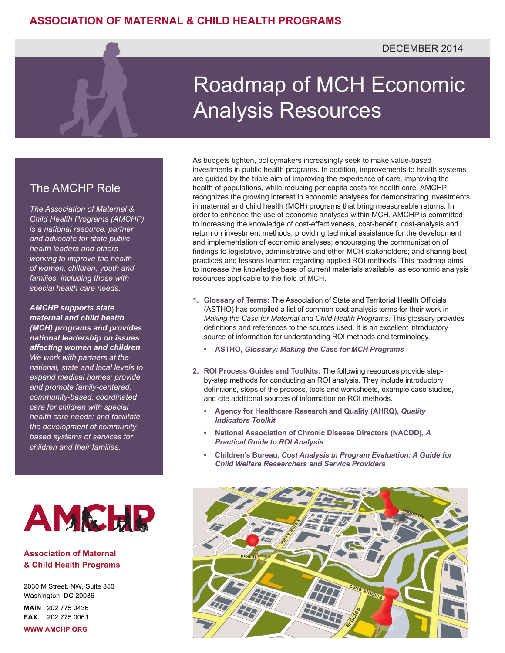## Roadmap of MCH Economic Analysis Resources

## The AMCHP Role

*The Association of Maternal & Child Health Programs (AMCHP) is a national resource, partner and advocate for state public health leaders and others working to improve the health of women, children, youth and families, including those with special health care needs.*

*AMCHP supports state maternal and child health (MCH) programs and provides national leadership on issues affecting women and children. We work with partners at the national, state and local levels to expand medical homes; provide and promote family-centered, community-based, coordinated care for children with special health care needs; and facilitate the development of communitybased systems of services for children and their families.*



## **Association of Maternal** & Child Health Programs

2030 M Street, NW, Suite 350 Washington, DC 20036

MAIN 202 775 0436 FAX 202 775 0061

**WWW.AMCHP.ORG** 

As budgets tighten, policymakers increasingly seek to make value-based investments in public health programs. In addition, improvements to health systems are guided by the triple aim of improving the experience of care, improving the health of populations, while reducing per capita costs for health care. AMCHP recognizes the growing interest in economic analyses for demonstrating investments in maternal and child health (MCH) programs that bring measureable returns. In order to enhance the use of economic analyses within MCH, AMCHP is committed to increasing the knowledge of cost-effectiveness, cost-benefit, cost-analysis and return on investment methods; providing technical assistance for the development and implementation of economic analyses; encouraging the communication of findings to legislative, administrative and other MCH stakeholders; and sharing best practices and lessons learned regarding applied ROI methods. This roadmap aims to increase the knowledge base of current materials available as economic analysis resources applicable to the field of MCH.

- **1. Glossary of Terms:** The Association of State and Territorial Health Officials (ASTHO) has compiled a list of common cost analysis terms for their work in *Making the Case for Maternal and Child Health Programs.* This glossary provides definitions and references to the sources used. It is an excellent introductory source of information for understanding ROI methods and terminology.
	- **• ASTHO,** *[Glossary: Making the Case for MCH Programs](http://www.astho.org/Programs/Access/Maternal-and-Child-Health/Making-the-Case-for-MCH-Programs/Materials/Glossary--Making-the-Case-for-MCH-Programs/)*
- **2. ROI Process Guides and Toolkits:** The following resources provide stepby-step methods for conducting an ROI analysis. They include introductory definitions, steps of the process, tools and worksheets, example case studies, and cite additional sources of information on ROI methods.
	- **• [Agency for Healthcare Research and Quality \(AHRQ\),](http://www.ahrq.gov/professionals/systems/hospital/qitoolkit/f1-returnoninvestment.pdf)** *Quality [Indicators Toolkit](http://www.ahrq.gov/professionals/systems/hospital/qitoolkit/f1-returnoninvestment.pdf)*
	- **• [National Association of Chronic Disease Directors \(NACDD\),](http://www.chronicdisease.org/resource/resmgr/services/roi-1.pdf)** *A [Practical Guide to ROI Analysis](http://www.chronicdisease.org/resource/resmgr/services/roi-1.pdf)*
	- **• Children's Bureau,** *[Cost Analysis in Program Evaluation: A Guide for](https://www.acf.hhs.gov/sites/default/files/cb/cost_analysis_guide.pdf) [Child Welfare Researchers and Service Providers](https://www.acf.hhs.gov/sites/default/files/cb/cost_analysis_guide.pdf)*